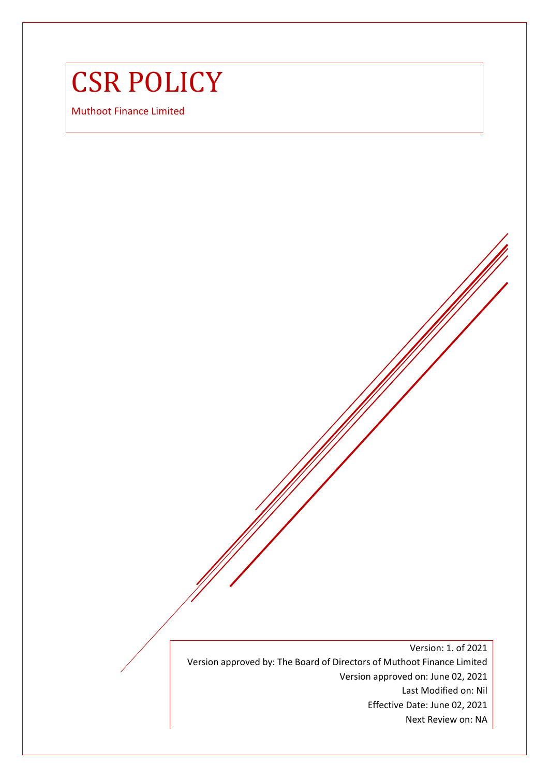# CSR POLICY

Muthoot Finance Limited

Version: 1. of 2021 Version approved by: The Board of Directors of Muthoot Finance Limited Version approved on: June 02, 2021 Last Modified on: Nil Effective Date: June 02, 2021 Next Review on: NA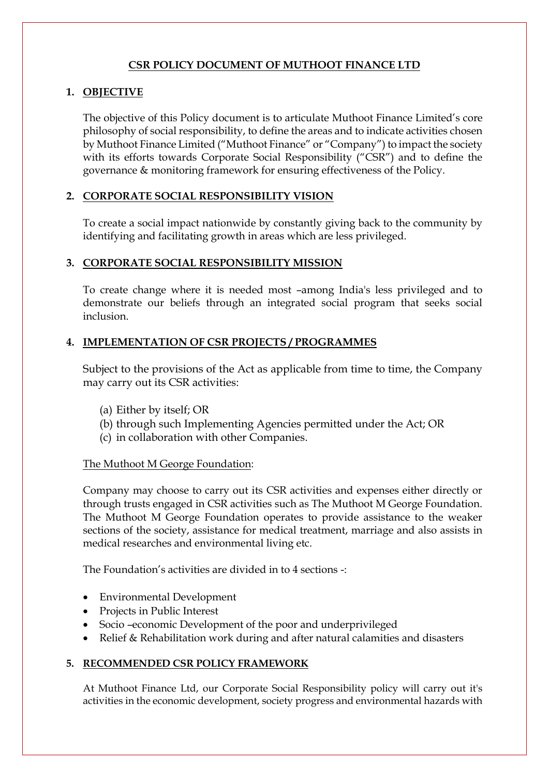## **CSR POLICY DOCUMENT OF MUTHOOT FINANCE LTD**

## **1. OBJECTIVE**

The objective of this Policy document is to articulate Muthoot Finance Limited's core philosophy of social responsibility, to define the areas and to indicate activities chosen by Muthoot Finance Limited ("Muthoot Finance" or "Company") to impact the society with its efforts towards Corporate Social Responsibility ("CSR") and to define the governance & monitoring framework for ensuring effectiveness of the Policy.

# **2. CORPORATE SOCIAL RESPONSIBILITY VISION**

To create a social impact nationwide by constantly giving back to the community by identifying and facilitating growth in areas which are less privileged.

#### **3. CORPORATE SOCIAL RESPONSIBILITY MISSION**

To create change where it is needed most –among India's less privileged and to demonstrate our beliefs through an integrated social program that seeks social inclusion.

# **4. IMPLEMENTATION OF CSR PROJECTS / PROGRAMMES**

Subject to the provisions of the Act as applicable from time to time, the Company may carry out its CSR activities:

- (a) Either by itself; OR
- (b) through such Implementing Agencies permitted under the Act; OR
- (c) in collaboration with other Companies.

#### The Muthoot M George Foundation:

Company may choose to carry out its CSR activities and expenses either directly or through trusts engaged in CSR activities such as The Muthoot M George Foundation. The Muthoot M George Foundation operates to provide assistance to the weaker sections of the society, assistance for medical treatment, marriage and also assists in medical researches and environmental living etc.

The Foundation's activities are divided in to 4 sections -:

- Environmental Development
- Projects in Public Interest
- Socio –economic Development of the poor and underprivileged
- Relief & Rehabilitation work during and after natural calamities and disasters

#### **5. RECOMMENDED CSR POLICY FRAMEWORK**

At Muthoot Finance Ltd, our Corporate Social Responsibility policy will carry out it's activities in the economic development, society progress and environmental hazards with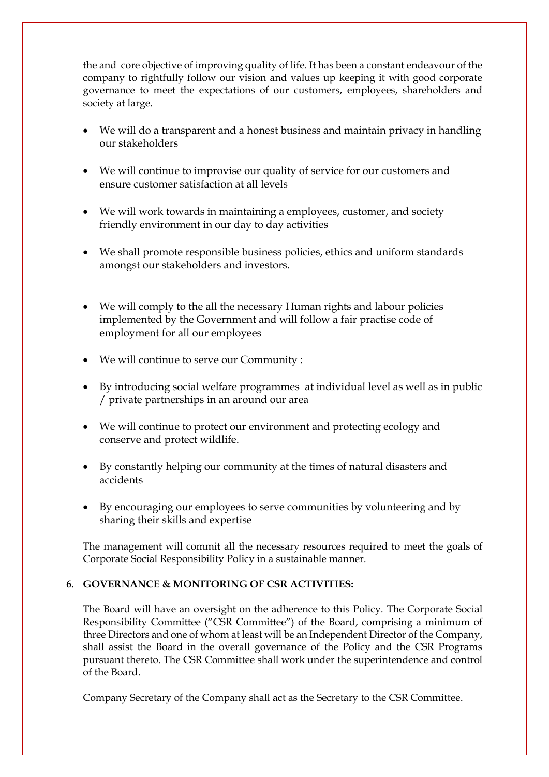the and core objective of improving quality of life. It has been a constant endeavour of the company to rightfully follow our vision and values up keeping it with good corporate governance to meet the expectations of our customers, employees, shareholders and society at large.

- We will do a transparent and a honest business and maintain privacy in handling our stakeholders
- We will continue to improvise our quality of service for our customers and ensure customer satisfaction at all levels
- We will work towards in maintaining a employees, customer, and society friendly environment in our day to day activities
- We shall promote responsible business policies, ethics and uniform standards amongst our stakeholders and investors.
- We will comply to the all the necessary Human rights and labour policies implemented by the Government and will follow a fair practise code of employment for all our employees
- We will continue to serve our Community :
- By introducing social welfare programmes at individual level as well as in public / private partnerships in an around our area
- We will continue to protect our environment and protecting ecology and conserve and protect wildlife.
- By constantly helping our community at the times of natural disasters and accidents
- By encouraging our employees to serve communities by volunteering and by sharing their skills and expertise

The management will commit all the necessary resources required to meet the goals of Corporate Social Responsibility Policy in a sustainable manner.

#### **6. GOVERNANCE & MONITORING OF CSR ACTIVITIES:**

The Board will have an oversight on the adherence to this Policy. The Corporate Social Responsibility Committee ("CSR Committee") of the Board, comprising a minimum of three Directors and one of whom at least will be an Independent Director of the Company, shall assist the Board in the overall governance of the Policy and the CSR Programs pursuant thereto. The CSR Committee shall work under the superintendence and control of the Board.

Company Secretary of the Company shall act as the Secretary to the CSR Committee.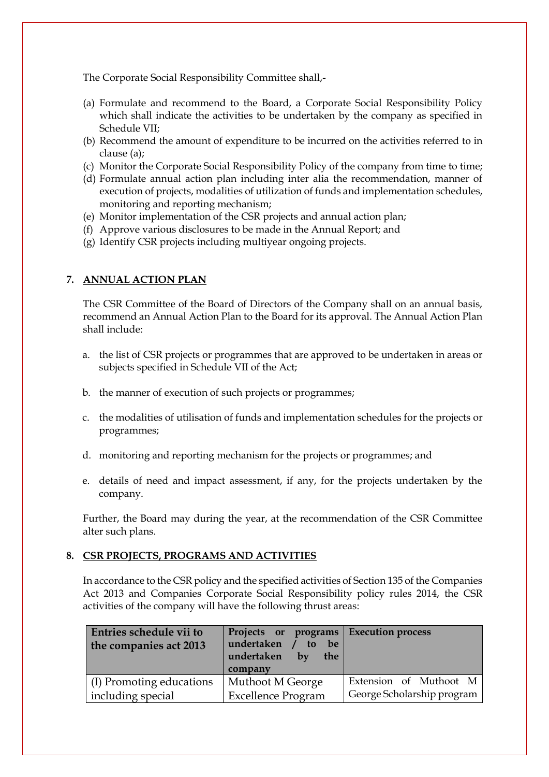The Corporate Social Responsibility Committee shall,-

- (a) Formulate and recommend to the Board, a Corporate Social Responsibility Policy which shall indicate the activities to be undertaken by the company as specified in Schedule VII;
- (b) Recommend the amount of expenditure to be incurred on the activities referred to in clause (a);
- (c) Monitor the Corporate Social Responsibility Policy of the company from time to time;
- (d) Formulate annual action plan including inter alia the recommendation, manner of execution of projects, modalities of utilization of funds and implementation schedules, monitoring and reporting mechanism;
- (e) Monitor implementation of the CSR projects and annual action plan;
- (f) Approve various disclosures to be made in the Annual Report; and
- (g) Identify CSR projects including multiyear ongoing projects.

#### **7. ANNUAL ACTION PLAN**

The CSR Committee of the Board of Directors of the Company shall on an annual basis, recommend an Annual Action Plan to the Board for its approval. The Annual Action Plan shall include:

- a. the list of CSR projects or programmes that are approved to be undertaken in areas or subjects specified in Schedule VII of the Act;
- b. the manner of execution of such projects or programmes;
- c. the modalities of utilisation of funds and implementation schedules for the projects or programmes;
- d. monitoring and reporting mechanism for the projects or programmes; and
- e. details of need and impact assessment, if any, for the projects undertaken by the company.

Further, the Board may during the year, at the recommendation of the CSR Committee alter such plans.

#### **8. CSR PROJECTS, PROGRAMS AND ACTIVITIES**

In accordance to the CSR policy and the specified activities of Section 135 of the Companies Act 2013 and Companies Corporate Social Responsibility policy rules 2014, the CSR activities of the company will have the following thrust areas:

| Entries schedule vii to<br>the companies act 2013 | Projects or programs Execution process<br>undertaken / to be<br>undertaken by<br>the<br>company |                            |
|---------------------------------------------------|-------------------------------------------------------------------------------------------------|----------------------------|
| (I) Promoting educations                          | Muthoot M George                                                                                | Extension of Muthoot M     |
| including special                                 | <b>Excellence Program</b>                                                                       | George Scholarship program |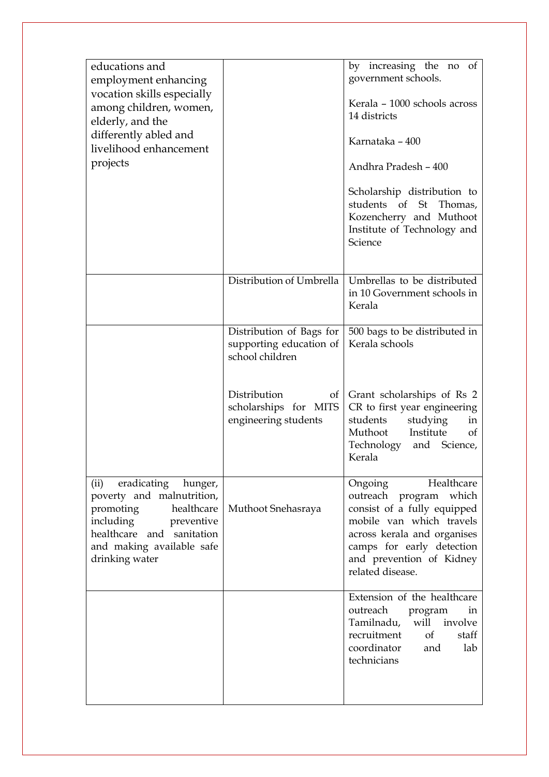| educations and<br>employment enhancing<br>vocation skills especially<br>among children, women,<br>elderly, and the<br>differently abled and<br>livelihood enhancement<br>projects          |                                                                            | by increasing the no of<br>government schools.<br>Kerala - 1000 schools across<br>14 districts<br>Karnataka - 400<br>Andhra Pradesh - 400<br>Scholarship distribution to<br>students of St Thomas,<br>Kozencherry and Muthoot<br>Institute of Technology and<br>Science |
|--------------------------------------------------------------------------------------------------------------------------------------------------------------------------------------------|----------------------------------------------------------------------------|-------------------------------------------------------------------------------------------------------------------------------------------------------------------------------------------------------------------------------------------------------------------------|
|                                                                                                                                                                                            | Distribution of Umbrella                                                   | Umbrellas to be distributed<br>in 10 Government schools in<br>Kerala                                                                                                                                                                                                    |
|                                                                                                                                                                                            | Distribution of Bags for<br>supporting education of<br>school children     | 500 bags to be distributed in<br>Kerala schools                                                                                                                                                                                                                         |
|                                                                                                                                                                                            | Distribution<br>$\circ$ t<br>scholarships for MITS<br>engineering students | Grant scholarships of Rs 2<br>CR to first year engineering<br>students<br>studying<br>in<br>Muthoot<br>Institute<br><sub>of</sub><br>Technology<br>Science,<br>and<br>Kerala                                                                                            |
| eradicating hunger,<br>(ii)<br>poverty and malnutrition,<br>promoting<br>healthcare<br>including<br>preventive<br>healthcare and sanitation<br>and making available safe<br>drinking water | Muthoot Snehasraya                                                         | Healthcare<br>Ongoing<br>outreach program which<br>consist of a fully equipped<br>mobile van which travels<br>across kerala and organises<br>camps for early detection<br>and prevention of Kidney<br>related disease.                                                  |
|                                                                                                                                                                                            |                                                                            | Extension of the healthcare<br>outreach<br>program<br>in<br>Tamilnadu,<br>will involve<br>recruitment<br>of<br>staff<br>coordinator<br>lab<br>and<br>technicians                                                                                                        |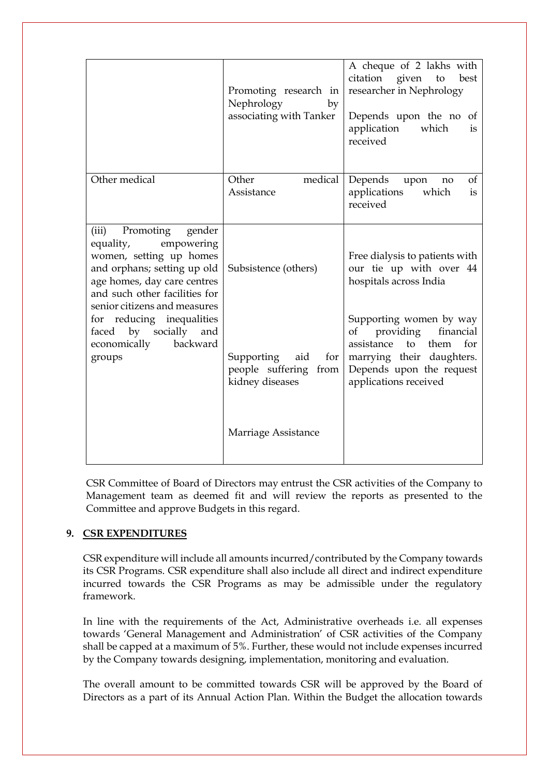|                                                                                                                                                                                                                                                                                                                     | Promoting research in<br>Nephrology<br>by<br>associating with Tanker | A cheque of 2 lakhs with<br>citation given<br>to<br>best<br>researcher in Nephrology<br>Depends upon the no of<br>application<br>which<br>is<br>received            |
|---------------------------------------------------------------------------------------------------------------------------------------------------------------------------------------------------------------------------------------------------------------------------------------------------------------------|----------------------------------------------------------------------|---------------------------------------------------------------------------------------------------------------------------------------------------------------------|
| Other medical                                                                                                                                                                                                                                                                                                       | medical<br>Other<br>Assistance                                       | Depends<br>οf<br>upon<br>no<br>applications<br>which<br>is<br>received                                                                                              |
| Promoting<br>(iii)<br>gender<br>empowering<br>equality,<br>women, setting up homes<br>and orphans; setting up old<br>age homes, day care centres<br>and such other facilities for<br>senior citizens and measures<br>for reducing inequalities<br>socially and<br>faced<br>by<br>economically<br>backward<br>groups | Subsistence (others)                                                 | Free dialysis to patients with<br>our tie up with over 44<br>hospitals across India                                                                                 |
|                                                                                                                                                                                                                                                                                                                     | aid<br>Supporting<br>for<br>people suffering from<br>kidney diseases | Supporting women by way<br>providing financial<br>of<br>assistance to them<br>for<br>marrying their daughters.<br>Depends upon the request<br>applications received |
|                                                                                                                                                                                                                                                                                                                     | Marriage Assistance                                                  |                                                                                                                                                                     |

CSR Committee of Board of Directors may entrust the CSR activities of the Company to Management team as deemed fit and will review the reports as presented to the Committee and approve Budgets in this regard.

#### **9. CSR EXPENDITURES**

CSR expenditure will include all amounts incurred/contributed by the Company towards its CSR Programs. CSR expenditure shall also include all direct and indirect expenditure incurred towards the CSR Programs as may be admissible under the regulatory framework.

In line with the requirements of the Act, Administrative overheads i.e. all expenses towards 'General Management and Administration' of CSR activities of the Company shall be capped at a maximum of 5%. Further, these would not include expenses incurred by the Company towards designing, implementation, monitoring and evaluation.

The overall amount to be committed towards CSR will be approved by the Board of Directors as a part of its Annual Action Plan. Within the Budget the allocation towards